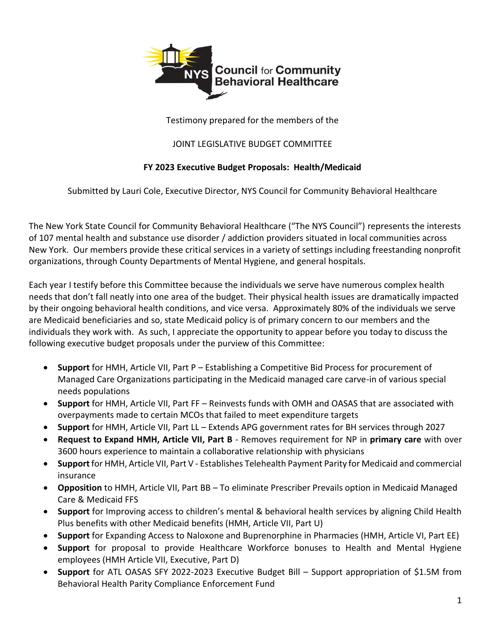

Testimony prepared for the members of the

### JOINT LEGISLATIVE BUDGET COMMITTEE

## **FY 2023 Executive Budget Proposals: Health/Medicaid**

Submitted by Lauri Cole, Executive Director, NYS Council for Community Behavioral Healthcare

The New York State Council for Community Behavioral Healthcare ("The NYS Council") represents the interests of 107 mental health and substance use disorder / addiction providers situated in local communities across New York. Our members provide these critical services in a variety of settings including freestanding nonprofit organizations, through County Departments of Mental Hygiene, and general hospitals.

Each year I testify before this Committee because the individuals we serve have numerous complex health needs that don't fall neatly into one area of the budget. Their physical health issues are dramatically impacted by their ongoing behavioral health conditions, and vice versa. Approximately 80% of the individuals we serve are Medicaid beneficiaries and so, state Medicaid policy is of primary concern to our members and the individuals they work with. As such, I appreciate the opportunity to appear before you today to discuss the following executive budget proposals under the purview of this Committee:

- **Support** for HMH, Article VII, Part P Establishing a Competitive Bid Process for procurement of Managed Care Organizations participating in the Medicaid managed care carve-in of various special needs populations
- **Support** for HMH, Article VII, Part FF Reinvests funds with OMH and OASAS that are associated with overpayments made to certain MCOs that failed to meet expenditure targets
- **Support** for HMH, Article VII, Part LL Extends APG government rates for BH services through 2027
- **Request to Expand HMH, Article VII, Part B** Removes requirement for NP in **primary care** with over 3600 hours experience to maintain a collaborative relationship with physicians
- **Support** for HMH, Article VII, Part V Establishes Telehealth Payment Parity for Medicaid and commercial insurance
- **Opposition** to HMH, Article VII, Part BB To eliminate Prescriber Prevails option in Medicaid Managed Care & Medicaid FFS
- **Support** for Improving access to children's mental & behavioral health services by aligning Child Health Plus benefits with other Medicaid benefits (HMH, Article VII, Part U)
- **Support** for Expanding Access to Naloxone and Buprenorphine in Pharmacies (HMH, Article VI, Part EE)
- **Support** for proposal to provide Healthcare Workforce bonuses to Health and Mental Hygiene employees (HMH Article VII, Executive, Part D)
- **Support** for ATL OASAS SFY 2022-2023 Executive Budget Bill Support appropriation of \$1.5M from Behavioral Health Parity Compliance Enforcement Fund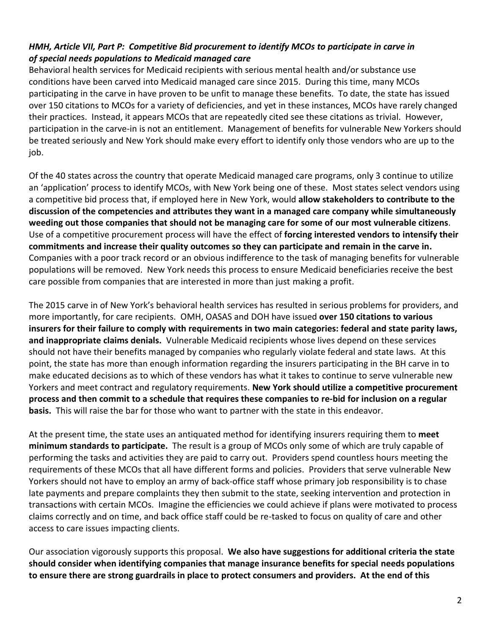# *HMH, Article VII, Part P: Competitive Bid procurement to identify MCOs to participate in carve in of special needs populations to Medicaid managed care*

Behavioral health services for Medicaid recipients with serious mental health and/or substance use conditions have been carved into Medicaid managed care since 2015. During this time, many MCOs participating in the carve in have proven to be unfit to manage these benefits. To date, the state has issued over 150 citations to MCOs for a variety of deficiencies, and yet in these instances, MCOs have rarely changed their practices. Instead, it appears MCOs that are repeatedly cited see these citations as trivial. However, participation in the carve-in is not an entitlement. Management of benefits for vulnerable New Yorkers should be treated seriously and New York should make every effort to identify only those vendors who are up to the job.

Of the 40 states across the country that operate Medicaid managed care programs, only 3 continue to utilize an 'application' process to identify MCOs, with New York being one of these. Most states select vendors using a competitive bid process that, if employed here in New York, would **allow stakeholders to contribute to the discussion of the competencies and attributes they want in a managed care company while simultaneously weeding out those companies that should not be managing care for some of our most vulnerable citizens**. Use of a competitive procurement process will have the effect of **forcing interested vendors to intensify their commitments and increase their quality outcomes so they can participate and remain in the carve in.** Companies with a poor track record or an obvious indifference to the task of managing benefits for vulnerable populations will be removed. New York needs this process to ensure Medicaid beneficiaries receive the best care possible from companies that are interested in more than just making a profit.

The 2015 carve in of New York's behavioral health services has resulted in serious problems for providers, and more importantly, for care recipients. OMH, OASAS and DOH have issued **over 150 citations to various insurers for their failure to comply with requirements in two main categories: federal and state parity laws, and inappropriate claims denials.** Vulnerable Medicaid recipients whose lives depend on these services should not have their benefits managed by companies who regularly violate federal and state laws. At this point, the state has more than enough information regarding the insurers participating in the BH carve in to make educated decisions as to which of these vendors has what it takes to continue to serve vulnerable new Yorkers and meet contract and regulatory requirements. **New York should utilize a competitive procurement process and then commit to a schedule that requires these companies to re-bid for inclusion on a regular basis.** This will raise the bar for those who want to partner with the state in this endeavor.

At the present time, the state uses an antiquated method for identifying insurers requiring them to **meet minimum standards to participate.** The result is a group of MCOs only some of which are truly capable of performing the tasks and activities they are paid to carry out. Providers spend countless hours meeting the requirements of these MCOs that all have different forms and policies. Providers that serve vulnerable New Yorkers should not have to employ an army of back-office staff whose primary job responsibility is to chase late payments and prepare complaints they then submit to the state, seeking intervention and protection in transactions with certain MCOs. Imagine the efficiencies we could achieve if plans were motivated to process claims correctly and on time, and back office staff could be re-tasked to focus on quality of care and other access to care issues impacting clients.

Our association vigorously supports this proposal. **We also have suggestions for additional criteria the state should consider when identifying companies that manage insurance benefits for special needs populations to ensure there are strong guardrails in place to protect consumers and providers. At the end of this**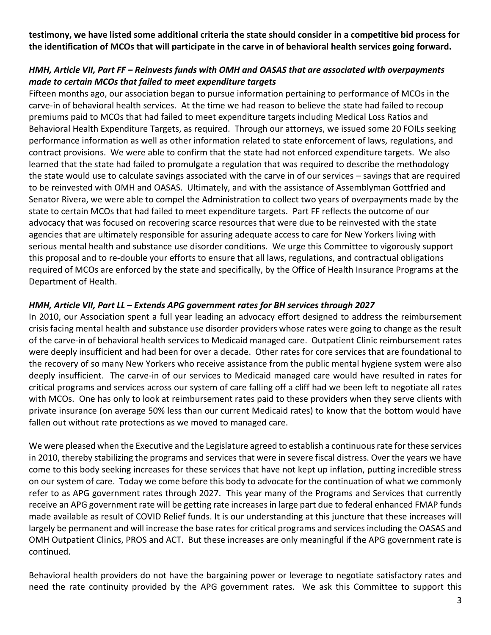**testimony, we have listed some additional criteria the state should consider in a competitive bid process for the identification of MCOs that will participate in the carve in of behavioral health services going forward.** 

## *HMH, Article VII, Part FF – Reinvests funds with OMH and OASAS that are associated with overpayments made to certain MCOs that failed to meet expenditure targets*

Fifteen months ago, our association began to pursue information pertaining to performance of MCOs in the carve-in of behavioral health services. At the time we had reason to believe the state had failed to recoup premiums paid to MCOs that had failed to meet expenditure targets including Medical Loss Ratios and Behavioral Health Expenditure Targets, as required. Through our attorneys, we issued some 20 FOILs seeking performance information as well as other information related to state enforcement of laws, regulations, and contract provisions. We were able to confirm that the state had not enforced expenditure targets. We also learned that the state had failed to promulgate a regulation that was required to describe the methodology the state would use to calculate savings associated with the carve in of our services – savings that are required to be reinvested with OMH and OASAS. Ultimately, and with the assistance of Assemblyman Gottfried and Senator Rivera, we were able to compel the Administration to collect two years of overpayments made by the state to certain MCOs that had failed to meet expenditure targets. Part FF reflects the outcome of our advocacy that was focused on recovering scarce resources that were due to be reinvested with the state agencies that are ultimately responsible for assuring adequate access to care for New Yorkers living with serious mental health and substance use disorder conditions. We urge this Committee to vigorously support this proposal and to re-double your efforts to ensure that all laws, regulations, and contractual obligations required of MCOs are enforced by the state and specifically, by the Office of Health Insurance Programs at the Department of Health.

### *HMH, Article VII, Part LL – Extends APG government rates for BH services through 2027*

In 2010, our Association spent a full year leading an advocacy effort designed to address the reimbursement crisis facing mental health and substance use disorder providers whose rates were going to change as the result of the carve-in of behavioral health services to Medicaid managed care. Outpatient Clinic reimbursement rates were deeply insufficient and had been for over a decade. Other rates for core services that are foundational to the recovery of so many New Yorkers who receive assistance from the public mental hygiene system were also deeply insufficient. The carve-in of our services to Medicaid managed care would have resulted in rates for critical programs and services across our system of care falling off a cliff had we been left to negotiate all rates with MCOs. One has only to look at reimbursement rates paid to these providers when they serve clients with private insurance (on average 50% less than our current Medicaid rates) to know that the bottom would have fallen out without rate protections as we moved to managed care.

We were pleased when the Executive and the Legislature agreed to establish a continuous rate for these services in 2010, thereby stabilizing the programs and services that were in severe fiscal distress. Over the years we have come to this body seeking increases for these services that have not kept up inflation, putting incredible stress on our system of care. Today we come before this body to advocate for the continuation of what we commonly refer to as APG government rates through 2027. This year many of the Programs and Services that currently receive an APG government rate will be getting rate increases in large part due to federal enhanced FMAP funds made available as result of COVID Relief funds. It is our understanding at this juncture that these increases will largely be permanent and will increase the base rates for critical programs and services including the OASAS and OMH Outpatient Clinics, PROS and ACT. But these increases are only meaningful if the APG government rate is continued.

Behavioral health providers do not have the bargaining power or leverage to negotiate satisfactory rates and need the rate continuity provided by the APG government rates. We ask this Committee to support this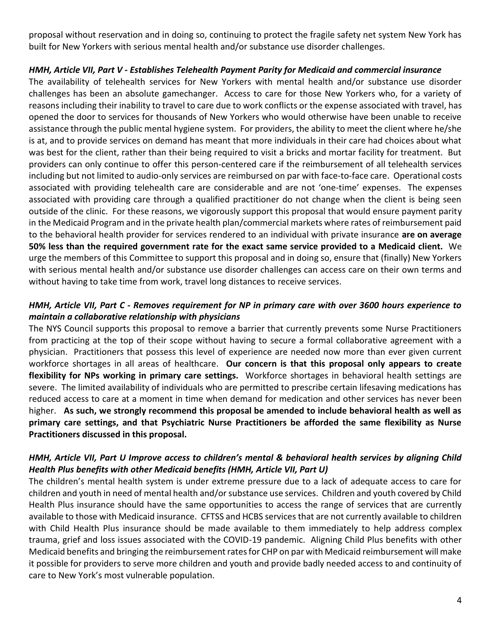proposal without reservation and in doing so, continuing to protect the fragile safety net system New York has built for New Yorkers with serious mental health and/or substance use disorder challenges.

#### *HMH, Article VII, Part V - Establishes Telehealth Payment Parity for Medicaid and commercial insurance*

The availability of telehealth services for New Yorkers with mental health and/or substance use disorder challenges has been an absolute gamechanger. Access to care for those New Yorkers who, for a variety of reasons including their inability to travel to care due to work conflicts or the expense associated with travel, has opened the door to services for thousands of New Yorkers who would otherwise have been unable to receive assistance through the public mental hygiene system. For providers, the ability to meet the client where he/she is at, and to provide services on demand has meant that more individuals in their care had choices about what was best for the client, rather than their being required to visit a bricks and mortar facility for treatment. But providers can only continue to offer this person-centered care if the reimbursement of all telehealth services including but not limited to audio-only services are reimbursed on par with face-to-face care. Operational costs associated with providing telehealth care are considerable and are not 'one-time' expenses. The expenses associated with providing care through a qualified practitioner do not change when the client is being seen outside of the clinic. For these reasons, we vigorously support this proposal that would ensure payment parity in the Medicaid Program and in the private health plan/commercial markets where rates of reimbursement paid to the behavioral health provider for services rendered to an individual with private insurance **are on average 50% less than the required government rate for the exact same service provided to a Medicaid client.** We urge the members of this Committee to support this proposal and in doing so, ensure that (finally) New Yorkers with serious mental health and/or substance use disorder challenges can access care on their own terms and without having to take time from work, travel long distances to receive services.

## *HMH, Article VII, Part C - Removes requirement for NP in primary care with over 3600 hours experience to maintain a collaborative relationship with physicians*

The NYS Council supports this proposal to remove a barrier that currently prevents some Nurse Practitioners from practicing at the top of their scope without having to secure a formal collaborative agreement with a physician. Practitioners that possess this level of experience are needed now more than ever given current workforce shortages in all areas of healthcare. **Our concern is that this proposal only appears to create flexibility for NPs working in primary care settings.** Workforce shortages in behavioral health settings are severe. The limited availability of individuals who are permitted to prescribe certain lifesaving medications has reduced access to care at a moment in time when demand for medication and other services has never been higher. **As such, we strongly recommend this proposal be amended to include behavioral health as well as primary care settings, and that Psychiatric Nurse Practitioners be afforded the same flexibility as Nurse Practitioners discussed in this proposal.** 

### *HMH, Article VII, Part U Improve access to children's mental & behavioral health services by aligning Child Health Plus benefits with other Medicaid benefits (HMH, Article VII, Part U)*

The children's mental health system is under extreme pressure due to a lack of adequate access to care for children and youth in need of mental health and/or substance use services. Children and youth covered by Child Health Plus insurance should have the same opportunities to access the range of services that are currently available to those with Medicaid insurance. CFTSS and HCBS services that are not currently available to children with Child Health Plus insurance should be made available to them immediately to help address complex trauma, grief and loss issues associated with the COVID-19 pandemic. Aligning Child Plus benefits with other Medicaid benefits and bringing the reimbursement rates for CHP on par with Medicaid reimbursement will make it possible for providers to serve more children and youth and provide badly needed access to and continuity of care to New York's most vulnerable population.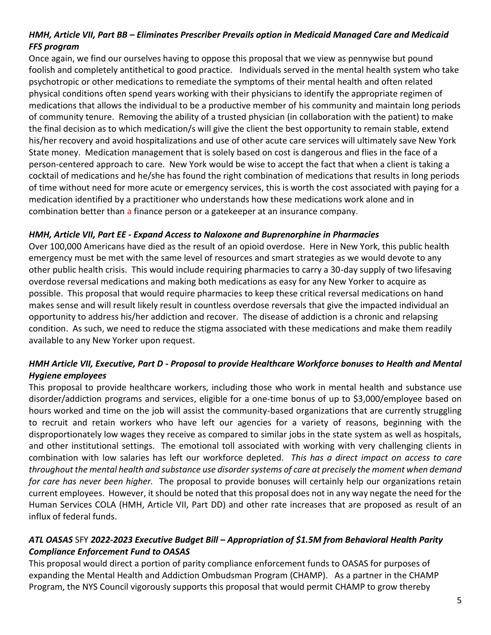# *HMH, Article VII, Part BB – Eliminates Prescriber Prevails option in Medicaid Managed Care and Medicaid FFS program*

Once again, we find our ourselves having to oppose this proposal that we view as pennywise but pound foolish and completely antithetical to good practice. Individuals served in the mental health system who take psychotropic or other medications to remediate the symptoms of their mental health and often related physical conditions often spend years working with their physicians to identify the appropriate regimen of medications that allows the individual to be a productive member of his community and maintain long periods of community tenure. Removing the ability of a trusted physician (in collaboration with the patient) to make the final decision as to which medication/s will give the client the best opportunity to remain stable, extend his/her recovery and avoid hospitalizations and use of other acute care services will ultimately save New York State money. Medication management that is solely based on cost is dangerous and flies in the face of a person-centered approach to care. New York would be wise to accept the fact that when a client is taking a cocktail of medications and he/she has found the right combination of medications that results in long periods of time without need for more acute or emergency services, this is worth the cost associated with paying for a medication identified by a practitioner who understands how these medications work alone and in combination better than a finance person or a gatekeeper at an insurance company.

#### *HMH, Article VII, Part EE - Expand Access to Naloxone and Buprenorphine in Pharmacies*

Over 100,000 Americans have died as the result of an opioid overdose. Here in New York, this public health emergency must be met with the same level of resources and smart strategies as we would devote to any other public health crisis. This would include requiring pharmacies to carry a 30-day supply of two lifesaving overdose reversal medications and making both medications as easy for any New Yorker to acquire as possible. This proposal that would require pharmacies to keep these critical reversal medications on hand makes sense and will result likely result in countless overdose reversals that give the impacted individual an opportunity to address his/her addiction and recover. The disease of addiction is a chronic and relapsing condition. As such, we need to reduce the stigma associated with these medications and make them readily available to any New Yorker upon request.

## *HMH Article VII, Executive, Part D - Proposal to provide Healthcare Workforce bonuses to Health and Mental Hygiene employees*

This proposal to provide healthcare workers, including those who work in mental health and substance use disorder/addiction programs and services, eligible for a one-time bonus of up to \$3,000/employee based on hours worked and time on the job will assist the community-based organizations that are currently struggling to recruit and retain workers who have left our agencies for a variety of reasons, beginning with the disproportionately low wages they receive as compared to similar jobs in the state system as well as hospitals, and other institutional settings. The emotional toll associated with working with very challenging clients in combination with low salaries has left our workforce depleted. *This has a direct impact on access to care throughout the mental health and substance use disorder systems of care at precisely the moment when demand for care has never been higher.* The proposal to provide bonuses will certainly help our organizations retain current employees. However, it should be noted that this proposal does not in any way negate the need for the Human Services COLA (HMH, Article VII, Part DD) and other rate increases that are proposed as result of an influx of federal funds.

## *ATL OASAS* SFY *2022-2023 Executive Budget Bill – Appropriation of \$1.5M from Behavioral Health Parity Compliance Enforcement Fund to OASAS*

This proposal would direct a portion of parity compliance enforcement funds to OASAS for purposes of expanding the Mental Health and Addiction Ombudsman Program (CHAMP). As a partner in the CHAMP Program, the NYS Council vigorously supports this proposal that would permit CHAMP to grow thereby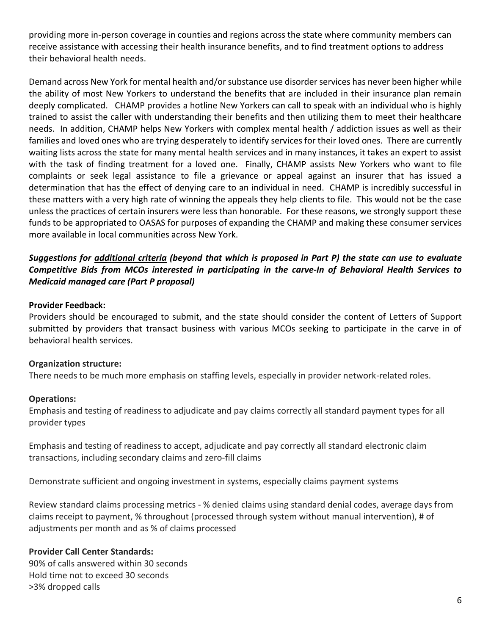providing more in-person coverage in counties and regions across the state where community members can receive assistance with accessing their health insurance benefits, and to find treatment options to address their behavioral health needs.

Demand across New York for mental health and/or substance use disorder services has never been higher while the ability of most New Yorkers to understand the benefits that are included in their insurance plan remain deeply complicated. CHAMP provides a hotline New Yorkers can call to speak with an individual who is highly trained to assist the caller with understanding their benefits and then utilizing them to meet their healthcare needs. In addition, CHAMP helps New Yorkers with complex mental health / addiction issues as well as their families and loved ones who are trying desperately to identify services for their loved ones. There are currently waiting lists across the state for many mental health services and in many instances, it takes an expert to assist with the task of finding treatment for a loved one. Finally, CHAMP assists New Yorkers who want to file complaints or seek legal assistance to file a grievance or appeal against an insurer that has issued a determination that has the effect of denying care to an individual in need. CHAMP is incredibly successful in these matters with a very high rate of winning the appeals they help clients to file. This would not be the case unless the practices of certain insurers were less than honorable. For these reasons, we strongly support these funds to be appropriated to OASAS for purposes of expanding the CHAMP and making these consumer services more available in local communities across New York.

## *Suggestions for additional criteria (beyond that which is proposed in Part P) the state can use to evaluate Competitive Bids from MCOs interested in participating in the carve-In of Behavioral Health Services to Medicaid managed care (Part P proposal)*

#### **Provider Feedback:**

Providers should be encouraged to submit, and the state should consider the content of Letters of Support submitted by providers that transact business with various MCOs seeking to participate in the carve in of behavioral health services.

#### **Organization structure:**

There needs to be much more emphasis on staffing levels, especially in provider network-related roles.

#### **Operations:**

Emphasis and testing of readiness to adjudicate and pay claims correctly all standard payment types for all provider types

Emphasis and testing of readiness to accept, adjudicate and pay correctly all standard electronic claim transactions, including secondary claims and zero-fill claims

Demonstrate sufficient and ongoing investment in systems, especially claims payment systems

Review standard claims processing metrics - % denied claims using standard denial codes, average days from claims receipt to payment, % throughout (processed through system without manual intervention), # of adjustments per month and as % of claims processed

#### **Provider Call Center Standards:**

90% of calls answered within 30 seconds Hold time not to exceed 30 seconds >3% dropped calls